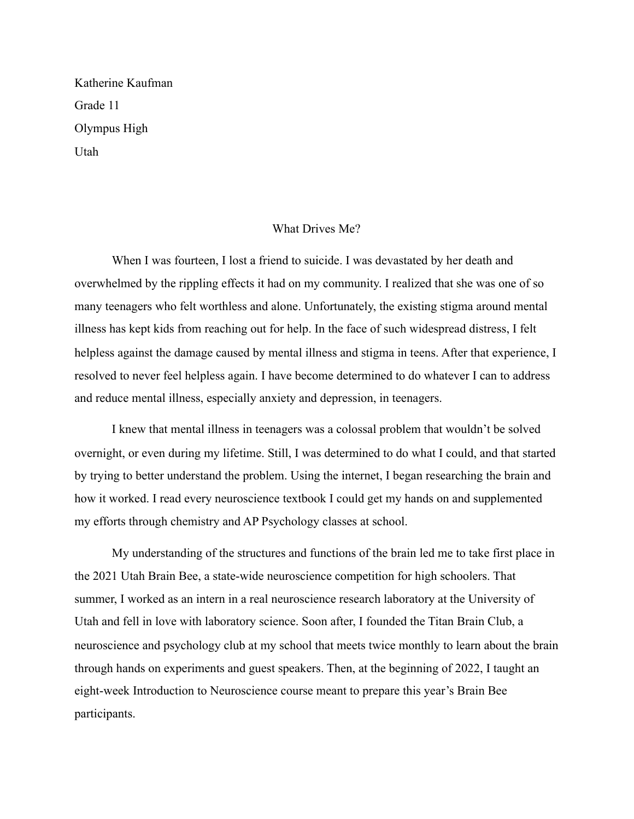Katherine Kaufman Grade 11 Olympus High Utah

## What Drives Me?

 When I was fourteen, I lost a friend to suicide. I was devastated by her death and overwhelmed by the rippling effects it had on my community. I realized that she was one of so many teenagers who felt worthless and alone. Unfortunately, the existing stigma around mental illness has kept kids from reaching out for help. In the face of such widespread distress, I felt helpless against the damage caused by mental illness and stigma in teens. After that experience, I resolved to never feel helpless again. I have become determined to do whatever I can to address and reduce mental illness, especially anxiety and depression, in teenagers.

 I knew that mental illness in teenagers was a colossal problem that wouldn't be solved overnight, or even during my lifetime. Still, I was determined to do what I could, and that started by trying to better understand the problem. Using the internet, I began researching the brain and how it worked. I read every neuroscience textbook I could get my hands on and supplemented my efforts through chemistry and AP Psychology classes at school.

 My understanding of the structures and functions of the brain led me to take first place in the 2021 Utah Brain Bee, a state-wide neuroscience competition for high schoolers. That summer, I worked as an intern in a real neuroscience research laboratory at the University of Utah and fell in love with laboratory science. Soon after, I founded the Titan Brain Club, a neuroscience and psychology club at my school that meets twice monthly to learn about the brain through hands on experiments and guest speakers. Then, at the beginning of 2022, I taught an eight-week Introduction to Neuroscience course meant to prepare this year's Brain Bee participants.